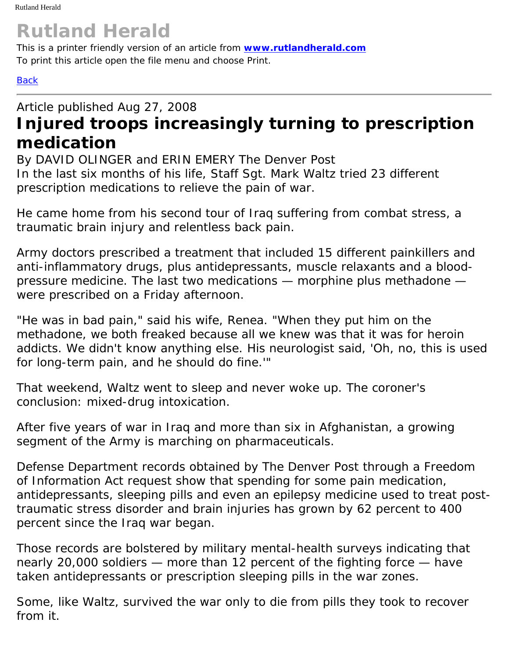## **Rutland Herald**

This is a printer friendly version of an article from **[www.rutlandherald.com](http://www.rutlandherald.com/)** To print this article open the file menu and choose Print.

## **[Back](javascript:history.go(-1))**

## Article published Aug 27, 2008 **Injured troops increasingly turning to prescription medication**

By DAVID OLINGER and ERIN EMERY The Denver Post In the last six months of his life, Staff Sgt. Mark Waltz tried 23 different prescription medications to relieve the pain of war.

He came home from his second tour of Iraq suffering from combat stress, a traumatic brain injury and relentless back pain.

Army doctors prescribed a treatment that included 15 different painkillers and anti-inflammatory drugs, plus antidepressants, muscle relaxants and a bloodpressure medicine. The last two medications — morphine plus methadone were prescribed on a Friday afternoon.

"He was in bad pain," said his wife, Renea. "When they put him on the methadone, we both freaked because all we knew was that it was for heroin addicts. We didn't know anything else. His neurologist said, 'Oh, no, this is used for long-term pain, and he should do fine.'"

That weekend, Waltz went to sleep and never woke up. The coroner's conclusion: mixed-drug intoxication.

After five years of war in Iraq and more than six in Afghanistan, a growing segment of the Army is marching on pharmaceuticals.

Defense Department records obtained by The Denver Post through a Freedom of Information Act request show that spending for some pain medication, antidepressants, sleeping pills and even an epilepsy medicine used to treat posttraumatic stress disorder and brain injuries has grown by 62 percent to 400 percent since the Iraq war began.

Those records are bolstered by military mental-health surveys indicating that nearly 20,000 soldiers — more than 12 percent of the fighting force — have taken antidepressants or prescription sleeping pills in the war zones.

Some, like Waltz, survived the war only to die from pills they took to recover from it.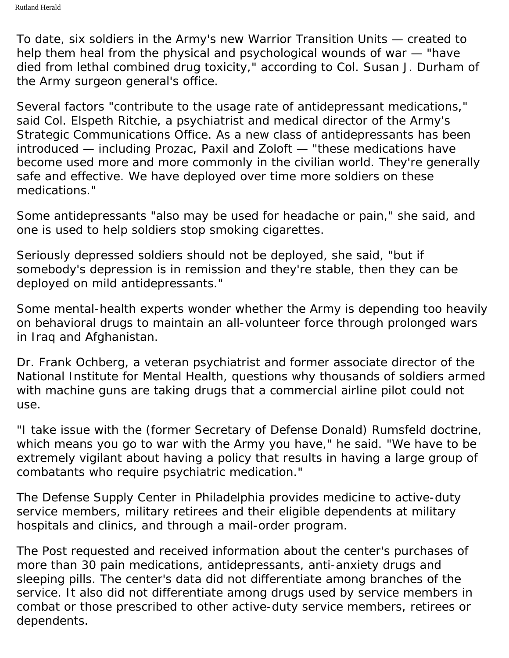To date, six soldiers in the Army's new Warrior Transition Units — created to help them heal from the physical and psychological wounds of war — "have died from lethal combined drug toxicity," according to Col. Susan J. Durham of the Army surgeon general's office.

Several factors "contribute to the usage rate of antidepressant medications," said Col. Elspeth Ritchie, a psychiatrist and medical director of the Army's Strategic Communications Office. As a new class of antidepressants has been introduced — including Prozac, Paxil and Zoloft — "these medications have become used more and more commonly in the civilian world. They're generally safe and effective. We have deployed over time more soldiers on these medications."

Some antidepressants "also may be used for headache or pain," she said, and one is used to help soldiers stop smoking cigarettes.

Seriously depressed soldiers should not be deployed, she said, "but if somebody's depression is in remission and they're stable, then they can be deployed on mild antidepressants."

Some mental-health experts wonder whether the Army is depending too heavily on behavioral drugs to maintain an all-volunteer force through prolonged wars in Iraq and Afghanistan.

Dr. Frank Ochberg, a veteran psychiatrist and former associate director of the National Institute for Mental Health, questions why thousands of soldiers armed with machine guns are taking drugs that a commercial airline pilot could not use.

"I take issue with the (former Secretary of Defense Donald) Rumsfeld doctrine, which means you go to war with the Army you have," he said. "We have to be extremely vigilant about having a policy that results in having a large group of combatants who require psychiatric medication."

The Defense Supply Center in Philadelphia provides medicine to active-duty service members, military retirees and their eligible dependents at military hospitals and clinics, and through a mail-order program.

The Post requested and received information about the center's purchases of more than 30 pain medications, antidepressants, anti-anxiety drugs and sleeping pills. The center's data did not differentiate among branches of the service. It also did not differentiate among drugs used by service members in combat or those prescribed to other active-duty service members, retirees or dependents.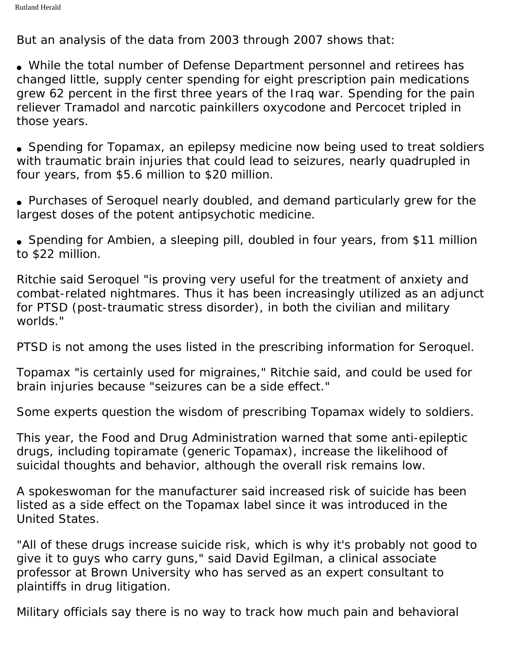But an analysis of the data from 2003 through 2007 shows that:

• While the total number of Defense Department personnel and retirees has changed little, supply center spending for eight prescription pain medications grew 62 percent in the first three years of the Iraq war. Spending for the pain reliever Tramadol and narcotic painkillers oxycodone and Percocet tripled in those years.

• Spending for Topamax, an epilepsy medicine now being used to treat soldiers with traumatic brain injuries that could lead to seizures, nearly quadrupled in four years, from \$5.6 million to \$20 million.

• Purchases of Seroquel nearly doubled, and demand particularly grew for the largest doses of the potent antipsychotic medicine.

• Spending for Ambien, a sleeping pill, doubled in four years, from \$11 million to \$22 million.

Ritchie said Seroquel "is proving very useful for the treatment of anxiety and combat-related nightmares. Thus it has been increasingly utilized as an adjunct for PTSD (post-traumatic stress disorder), in both the civilian and military worlds."

PTSD is not among the uses listed in the prescribing information for Seroquel.

Topamax "is certainly used for migraines," Ritchie said, and could be used for brain injuries because "seizures can be a side effect."

Some experts question the wisdom of prescribing Topamax widely to soldiers.

This year, the Food and Drug Administration warned that some anti-epileptic drugs, including topiramate (generic Topamax), increase the likelihood of suicidal thoughts and behavior, although the overall risk remains low.

A spokeswoman for the manufacturer said increased risk of suicide has been listed as a side effect on the Topamax label since it was introduced in the United States.

"All of these drugs increase suicide risk, which is why it's probably not good to give it to guys who carry guns," said David Egilman, a clinical associate professor at Brown University who has served as an expert consultant to plaintiffs in drug litigation.

Military officials say there is no way to track how much pain and behavioral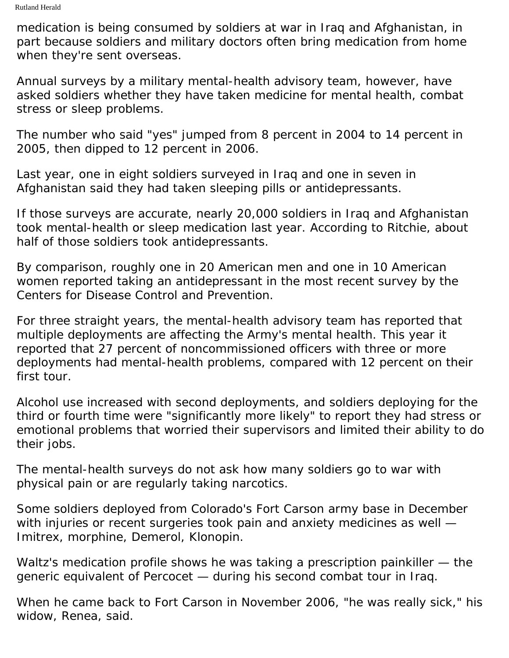medication is being consumed by soldiers at war in Iraq and Afghanistan, in part because soldiers and military doctors often bring medication from home when they're sent overseas.

Annual surveys by a military mental-health advisory team, however, have asked soldiers whether they have taken medicine for mental health, combat stress or sleep problems.

The number who said "yes" jumped from 8 percent in 2004 to 14 percent in 2005, then dipped to 12 percent in 2006.

Last year, one in eight soldiers surveyed in Iraq and one in seven in Afghanistan said they had taken sleeping pills or antidepressants.

If those surveys are accurate, nearly 20,000 soldiers in Iraq and Afghanistan took mental-health or sleep medication last year. According to Ritchie, about half of those soldiers took antidepressants.

By comparison, roughly one in 20 American men and one in 10 American women reported taking an antidepressant in the most recent survey by the Centers for Disease Control and Prevention.

For three straight years, the mental-health advisory team has reported that multiple deployments are affecting the Army's mental health. This year it reported that 27 percent of noncommissioned officers with three or more deployments had mental-health problems, compared with 12 percent on their first tour.

Alcohol use increased with second deployments, and soldiers deploying for the third or fourth time were "significantly more likely" to report they had stress or emotional problems that worried their supervisors and limited their ability to do their jobs.

The mental-health surveys do not ask how many soldiers go to war with physical pain or are regularly taking narcotics.

Some soldiers deployed from Colorado's Fort Carson army base in December with injuries or recent surgeries took pain and anxiety medicines as well -Imitrex, morphine, Demerol, Klonopin.

Waltz's medication profile shows he was taking a prescription painkiller — the generic equivalent of Percocet — during his second combat tour in Iraq.

When he came back to Fort Carson in November 2006, "he was really sick," his widow, Renea, said.